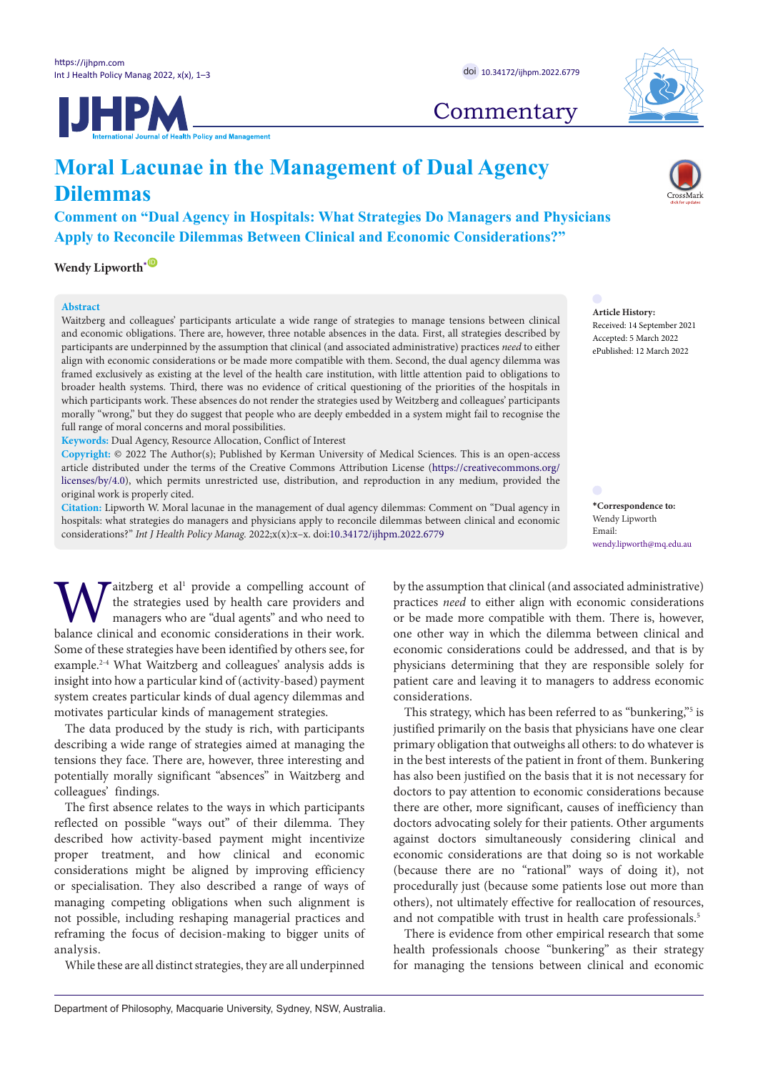



## **Commentary**

# **Moral Lacunae in the Management of Dual Agency Dilemmas**

### **Comment on "Dual Agency in Hospitals: What Strategies Do Managers and Physicians Apply to Reconcile Dilemmas Between Clinical and Economic Considerations?"**

**Wendy Lipworth**<sup>[\\*](#page-0-0)  $\bullet$ </sup>

### **Abstract**

Waitzberg and colleagues' participants articulate a wide range of strategies to manage tensions between clinical and economic obligations. There are, however, three notable absences in the data. First, all strategies described by participants are underpinned by the assumption that clinical (and associated administrative) practices *need* to either align with economic considerations or be made more compatible with them. Second, the dual agency dilemma was framed exclusively as existing at the level of the health care institution, with little attention paid to obligations to broader health systems. Third, there was no evidence of critical questioning of the priorities of the hospitals in which participants work. These absences do not render the strategies used by Weitzberg and colleagues' participants morally "wrong," but they do suggest that people who are deeply embedded in a system might fail to recognise the full range of moral concerns and moral possibilities.

**Keywords:** Dual Agency, Resource Allocation, Conflict of Interest

**Copyright:** © 2022 The Author(s); Published by Kerman University of Medical Sciences. This is an open-access article distributed under the terms of the Creative Commons Attribution License [\(https://creativecommons.org/](https://creativecommons.org/licenses/by/4.0/) [licenses/by/4.0](https://creativecommons.org/licenses/by/4.0/)), which permits unrestricted use, distribution, and reproduction in any medium, provided the original work is properly cited.

**Citation:** Lipworth W. Moral lacunae in the management of dual agency dilemmas: Comment on "Dual agency in hospitals: what strategies do managers and physicians apply to reconcile dilemmas between clinical and economic considerations?" *Int J Health Policy Manag.* 2022;x(x):x–x. doi[:10.34172/ijhpm.2022.6779](https://doi.org/10.34172/ijhpm.2022.6779)

**W** aitzberg et al<sup>1</sup> provide a compelling account of the strategies used by health care providers and managers who are "dual agents" and who need to balance clinical and economic considerations in their work. aitzberg et al<sup>1</sup> provide a compelling account of the strategies used by health care providers and managers who are "dual agents" and who need to Some of these strategies have been identified by others see, for example.2-4 What Waitzberg and colleagues' analysis adds is insight into how a particular kind of (activity-based) payment system creates particular kinds of dual agency dilemmas and motivates particular kinds of management strategies.

The data produced by the study is rich, with participants describing a wide range of strategies aimed at managing the tensions they face. There are, however, three interesting and potentially morally significant "absences" in Waitzberg and colleagues' findings.

The first absence relates to the ways in which participants reflected on possible "ways out" of their dilemma. They described how activity-based payment might incentivize proper treatment, and how clinical and economic considerations might be aligned by improving efficiency or specialisation. They also described a range of ways of managing competing obligations when such alignment is not possible, including reshaping managerial practices and reframing the focus of decision-making to bigger units of analysis.

While these are all distinct strategies, they are all underpinned

**Article History:** Received: 14 September 2021 Accepted: 5 March 2022 ePublished: 12 March 2022

<span id="page-0-0"></span>**\*Correspondence to:** Wendy Lipworth Email: wendy.lipworth@ma.edu.au

by the assumption that clinical (and associated administrative) practices *need* to either align with economic considerations or be made more compatible with them. There is, however, one other way in which the dilemma between clinical and economic considerations could be addressed, and that is by physicians determining that they are responsible solely for patient care and leaving it to managers to address economic considerations.

This strategy, which has been referred to as "bunkering,"<sup>5</sup> is justified primarily on the basis that physicians have one clear primary obligation that outweighs all others: to do whatever is in the best interests of the patient in front of them. Bunkering has also been justified on the basis that it is not necessary for doctors to pay attention to economic considerations because there are other, more significant, causes of inefficiency than doctors advocating solely for their patients. Other arguments against doctors simultaneously considering clinical and economic considerations are that doing so is not workable (because there are no "rational" ways of doing it), not procedurally just (because some patients lose out more than others), not ultimately effective for reallocation of resources, and not compatible with trust in health care professionals.<sup>5</sup>

There is evidence from other empirical research that some health professionals choose "bunkering" as their strategy for managing the tensions between clinical and economic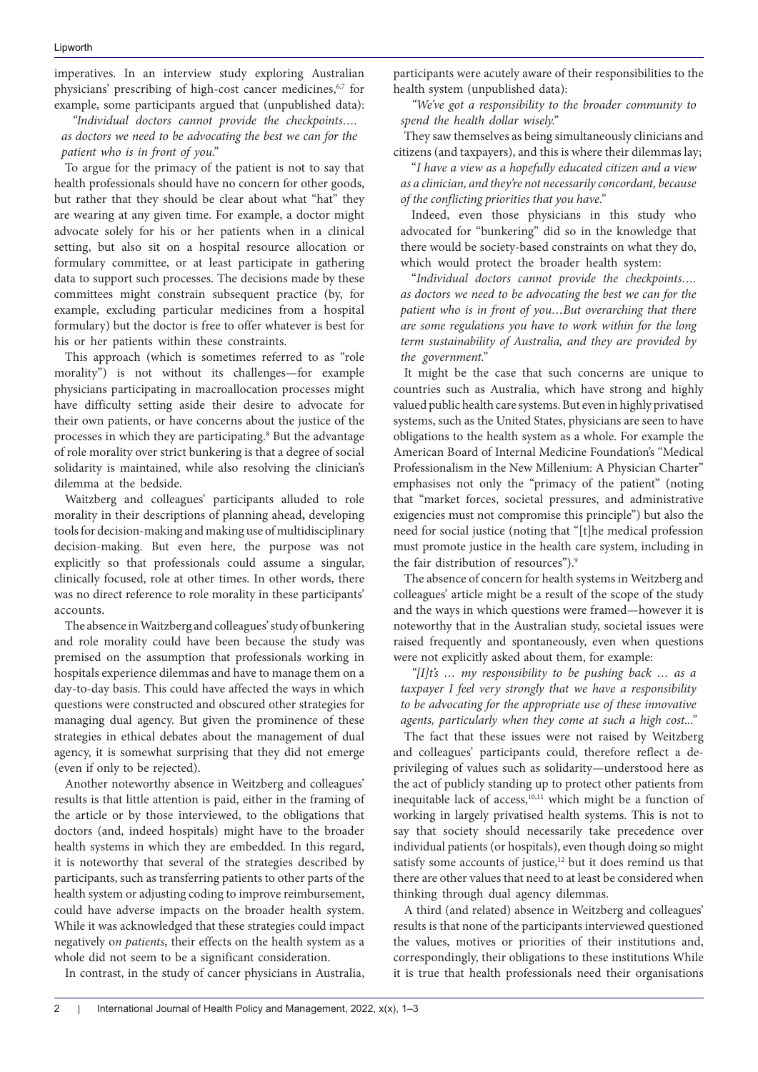imperatives. In an interview study exploring Australian physicians' prescribing of high-cost cancer medicines,<sup>6,7</sup> for example, some participants argued that (unpublished data):

*"Individual doctors cannot provide the checkpoints…. as doctors we need to be advocating the best we can for the patient who is in front of you."*

To argue for the primacy of the patient is not to say that health professionals should have no concern for other goods, but rather that they should be clear about what "hat" they are wearing at any given time. For example, a doctor might advocate solely for his or her patients when in a clinical setting, but also sit on a hospital resource allocation or formulary committee, or at least participate in gathering data to support such processes. The decisions made by these committees might constrain subsequent practice (by, for example, excluding particular medicines from a hospital formulary) but the doctor is free to offer whatever is best for his or her patients within these constraints.

This approach (which is sometimes referred to as "role morality") is not without its challenges—for example physicians participating in macroallocation processes might have difficulty setting aside their desire to advocate for their own patients, or have concerns about the justice of the processes in which they are participating.<sup>8</sup> But the advantage of role morality over strict bunkering is that a degree of social solidarity is maintained, while also resolving the clinician's dilemma at the bedside.

Waitzberg and colleagues' participants alluded to role morality in their descriptions of planning ahead**,** developing tools for decision-making and making use of multidisciplinary decision-making. But even here, the purpose was not explicitly so that professionals could assume a singular, clinically focused, role at other times. In other words, there was no direct reference to role morality in these participants' accounts.

The absence in Waitzberg and colleagues' study of bunkering and role morality could have been because the study was premised on the assumption that professionals working in hospitals experience dilemmas and have to manage them on a day-to-day basis. This could have affected the ways in which questions were constructed and obscured other strategies for managing dual agency. But given the prominence of these strategies in ethical debates about the management of dual agency, it is somewhat surprising that they did not emerge (even if only to be rejected).

Another noteworthy absence in Weitzberg and colleagues' results is that little attention is paid, either in the framing of the article or by those interviewed, to the obligations that doctors (and, indeed hospitals) might have to the broader health systems in which they are embedded. In this regard, it is noteworthy that several of the strategies described by participants, such as transferring patients to other parts of the health system or adjusting coding to improve reimbursement, could have adverse impacts on the broader health system. While it was acknowledged that these strategies could impact negatively o*n patients*, their effects on the health system as a whole did not seem to be a significant consideration.

In contrast, in the study of cancer physicians in Australia,

participants were acutely aware of their responsibilities to the health system (unpublished data):

*"We've got a responsibility to the broader community to spend the health dollar wisely."*

They saw themselves as being simultaneously clinicians and citizens (and taxpayers), and this is where their dilemmas lay;

"*I have a view as a hopefully educated citizen and a view as a clinician, and they're not necessarily concordant, because of the conflicting priorities that you have."*

Indeed, even those physicians in this study who advocated for "bunkering" did so in the knowledge that there would be society-based constraints on what they do, which would protect the broader health system:

"*Individual doctors cannot provide the checkpoints…. as doctors we need to be advocating the best we can for the patient who is in front of you…But overarching that there are some regulations you have to work within for the long term sustainability of Australia, and they are provided by the government."*

It might be the case that such concerns are unique to countries such as Australia, which have strong and highly valued public health care systems. But even in highly privatised systems, such as the United States, physicians are seen to have obligations to the health system as a whole. For example the American Board of Internal Medicine Foundation's "Medical Professionalism in the New Millenium: A Physician Charter" emphasises not only the "primacy of the patient" (noting that "market forces, societal pressures, and administrative exigencies must not compromise this principle") but also the need for social justice (noting that "[t]he medical profession must promote justice in the health care system, including in the fair distribution of resources").9

The absence of concern for health systems in Weitzberg and colleagues' article might be a result of the scope of the study and the ways in which questions were framed—however it is noteworthy that in the Australian study, societal issues were raised frequently and spontaneously, even when questions were not explicitly asked about them, for example:

*"[I]t's … my responsibility to be pushing back … as a taxpayer I feel very strongly that we have a responsibility to be advocating for the appropriate use of these innovative agents, particularly when they come at such a high cost..."*

The fact that these issues were not raised by Weitzberg and colleagues' participants could, therefore reflect a deprivileging of values such as solidarity—understood here as the act of publicly standing up to protect other patients from inequitable lack of access,10,11 which might be a function of working in largely privatised health systems. This is not to say that society should necessarily take precedence over individual patients (or hospitals), even though doing so might satisfy some accounts of justice,<sup>12</sup> but it does remind us that there are other values that need to at least be considered when thinking through dual agency dilemmas.

A third (and related) absence in Weitzberg and colleagues' results is that none of the participants interviewed questioned the values, motives or priorities of their institutions and, correspondingly, their obligations to these institutions While it is true that health professionals need their organisations